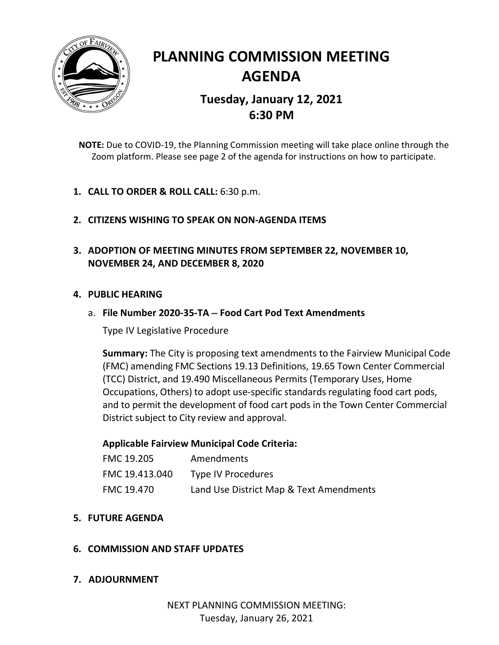

# **PLANNING COMMISSION MEETING AGENDA Tuesday, January 12, 2021 6:30 PM**

**NOTE:** Due to COVID-19, the Planning Commission meeting will take place online through the Zoom platform. Please see page 2 of the agenda for instructions on how to participate.

- **1. CALL TO ORDER & ROLL CALL:** 6:30 p.m.
- **2. CITIZENS WISHING TO SPEAK ON NON-AGENDA ITEMS**
- **3. ADOPTION OF MEETING MINUTES FROM SEPTEMBER 22, NOVEMBER 10, NOVEMBER 24, AND DECEMBER 8, 2020**

## **4. PUBLIC HEARING**

## a. **File Number 2020-35-TA** − **Food Cart Pod Text Amendments**

Type IV Legislative Procedure

**Summary:** The City is proposing text amendments to the Fairview Municipal Code (FMC) amending FMC Sections 19.13 Definitions, 19.65 Town Center Commercial (TCC) District, and 19.490 Miscellaneous Permits (Temporary Uses, Home Occupations, Others) to adopt use-specific standards regulating food cart pods, and to permit the development of food cart pods in the Town Center Commercial District subject to City review and approval.

## **Applicable Fairview Municipal Code Criteria:**

| <b>FMC 19.205</b> | Amendments                              |
|-------------------|-----------------------------------------|
| FMC 19.413.040    | <b>Type IV Procedures</b>               |
| FMC 19.470        | Land Use District Map & Text Amendments |

**5. FUTURE AGENDA**

## **6. COMMISSION AND STAFF UPDATES**

## **7. ADJOURNMENT**

NEXT PLANNING COMMISSION MEETING: Tuesday, January 26, 2021